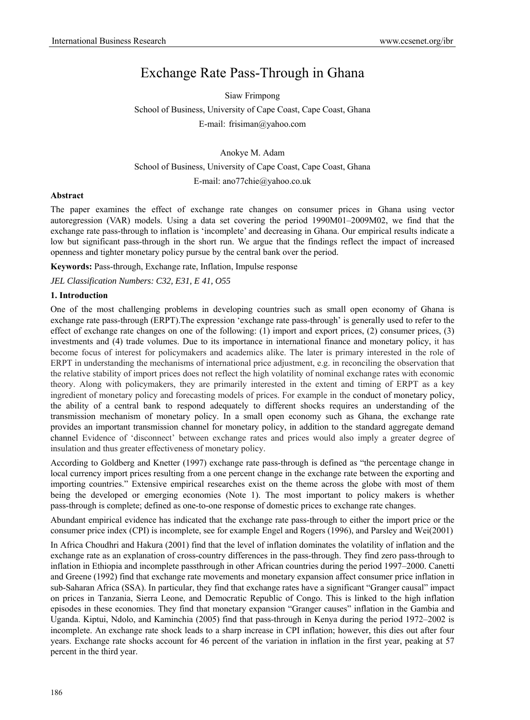# Exchange Rate Pass-Through in Ghana

Siaw Frimpong School of Business, University of Cape Coast, Cape Coast, Ghana E-mail: frisiman@yahoo.com

Anokye M. Adam School of Business, University of Cape Coast, Cape Coast, Ghana E-mail: ano77chie@yahoo.co.uk

## **Abstract**

The paper examines the effect of exchange rate changes on consumer prices in Ghana using vector autoregression (VAR) models. Using a data set covering the period 1990M01–2009M02, we find that the exchange rate pass-through to inflation is 'incomplete' and decreasing in Ghana. Our empirical results indicate a low but significant pass-through in the short run. We argue that the findings reflect the impact of increased openness and tighter monetary policy pursue by the central bank over the period.

**Keywords:** Pass-through, Exchange rate, Inflation, Impulse response

*JEL Classification Numbers: C32, E31, E 41, O55* 

## **1. Introduction**

One of the most challenging problems in developing countries such as small open economy of Ghana is exchange rate pass-through (ERPT).The expression 'exchange rate pass-through' is generally used to refer to the effect of exchange rate changes on one of the following: (1) import and export prices, (2) consumer prices, (3) investments and (4) trade volumes. Due to its importance in international finance and monetary policy, it has become focus of interest for policymakers and academics alike. The later is primary interested in the role of ERPT in understanding the mechanisms of international price adjustment, e.g. in reconciling the observation that the relative stability of import prices does not reflect the high volatility of nominal exchange rates with economic theory. Along with policymakers, they are primarily interested in the extent and timing of ERPT as a key ingredient of monetary policy and forecasting models of prices. For example in the conduct of monetary policy, the ability of a central bank to respond adequately to different shocks requires an understanding of the transmission mechanism of monetary policy. In a small open economy such as Ghana, the exchange rate provides an important transmission channel for monetary policy, in addition to the standard aggregate demand channel Evidence of 'disconnect' between exchange rates and prices would also imply a greater degree of insulation and thus greater effectiveness of monetary policy.

According to Goldberg and Knetter (1997) exchange rate pass-through is defined as "the percentage change in local currency import prices resulting from a one percent change in the exchange rate between the exporting and importing countries." Extensive empirical researches exist on the theme across the globe with most of them being the developed or emerging economies (Note 1). The most important to policy makers is whether pass-through is complete; defined as one-to-one response of domestic prices to exchange rate changes.

Abundant empirical evidence has indicated that the exchange rate pass-through to either the import price or the consumer price index (CPI) is incomplete, see for example Engel and Rogers (1996), and Parsley and Wei(2001)

In Africa Choudhri and Hakura (2001) find that the level of inflation dominates the volatility of inflation and the exchange rate as an explanation of cross-country differences in the pass-through. They find zero pass-through to inflation in Ethiopia and incomplete passthrough in other African countries during the period 1997–2000. Canetti and Greene (1992) find that exchange rate movements and monetary expansion affect consumer price inflation in sub-Saharan Africa (SSA). In particular, they find that exchange rates have a significant "Granger causal" impact on prices in Tanzania, Sierra Leone, and Democratic Republic of Congo. This is linked to the high inflation episodes in these economies. They find that monetary expansion "Granger causes" inflation in the Gambia and Uganda. Kiptui, Ndolo, and Kaminchia (2005) find that pass-through in Kenya during the period 1972–2002 is incomplete. An exchange rate shock leads to a sharp increase in CPI inflation; however, this dies out after four years. Exchange rate shocks account for 46 percent of the variation in inflation in the first year, peaking at 57 percent in the third year.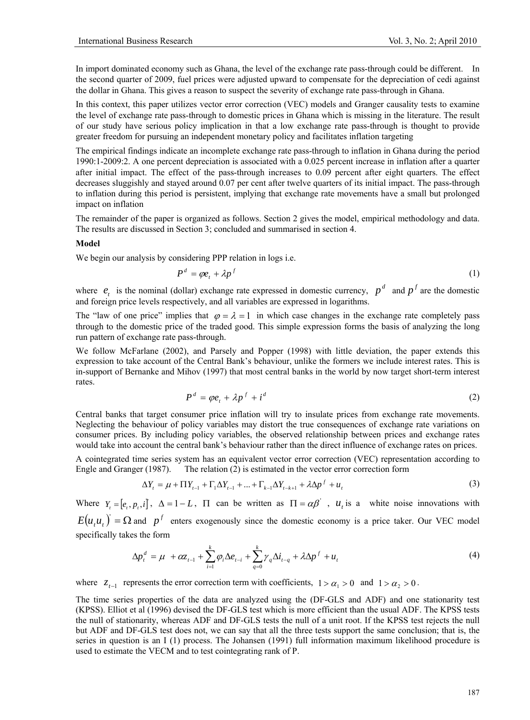In import dominated economy such as Ghana, the level of the exchange rate pass-through could be different. In the second quarter of 2009, fuel prices were adjusted upward to compensate for the depreciation of cedi against the dollar in Ghana. This gives a reason to suspect the severity of exchange rate pass-through in Ghana.

In this context, this paper utilizes vector error correction (VEC) models and Granger causality tests to examine the level of exchange rate pass-through to domestic prices in Ghana which is missing in the literature. The result of our study have serious policy implication in that a low exchange rate pass-through is thought to provide greater freedom for pursuing an independent monetary policy and facilitates inflation targeting

The empirical findings indicate an incomplete exchange rate pass-through to inflation in Ghana during the period 1990:1-2009:2. A one percent depreciation is associated with a 0.025 percent increase in inflation after a quarter after initial impact. The effect of the pass-through increases to 0.09 percent after eight quarters. The effect decreases sluggishly and stayed around 0.07 per cent after twelve quarters of its initial impact. The pass-through to inflation during this period is persistent, implying that exchange rate movements have a small but prolonged impact on inflation

The remainder of the paper is organized as follows. Section 2 gives the model, empirical methodology and data. The results are discussed in Section 3; concluded and summarised in section 4.

#### **Model**

We begin our analysis by considering PPP relation in logs i.e.

$$
P^d = \varphi e_t + \lambda p^f \tag{1}
$$

where  $e_t$  is the nominal (dollar) exchange rate expressed in domestic currency,  $p^d$  and  $p^f$  are the domestic and foreign price levels respectively, and all variables are expressed in logarithms.

The "law of one price" implies that  $\varphi = \lambda = 1$  in which case changes in the exchange rate completely pass through to the domestic price of the traded good. This simple expression forms the basis of analyzing the long run pattern of exchange rate pass-through.

We follow McFarlane (2002), and Parsely and Popper (1998) with little deviation, the paper extends this expression to take account of the Central Bank's behaviour, unlike the formers we include interest rates. This is in-support of Bernanke and Mihov (1997) that most central banks in the world by now target short-term interest rates.

$$
P^d = \varphi e_t + \lambda p^f + i^d \tag{2}
$$

Central banks that target consumer price inflation will try to insulate prices from exchange rate movements. Neglecting the behaviour of policy variables may distort the true consequences of exchange rate variations on consumer prices. By including policy variables, the observed relationship between prices and exchange rates would take into account the central bank's behaviour rather than the direct influence of exchange rates on prices.

A cointegrated time series system has an equivalent vector error correction (VEC) representation according to Engle and Granger (1987). The relation (2) is estimated in the vector error correction form

$$
\Delta Y_{t} = \mu + \Pi Y_{t-1} + \Gamma_{1} \Delta Y_{t-1} + ... + \Gamma_{k-1} \Delta Y_{t-k+1} + \lambda \Delta p^{f} + u_{t}
$$
\n(3)

Where  $Y_i = [e_i, p_i, i]$ ,  $\Delta = 1 - L$ ,  $\Pi$  can be written as  $\Pi = \alpha \beta'$ ,  $u_i$  is a white noise innovations with  $E(u_t u_t) = \Omega$  and  $p^f$  enters exogenously since the domestic economy is a price taker. Our VEC model specifically takes the form

$$
\Delta p_t^d = \mu + \alpha z_{t-1} + \sum_{i=1}^k \varphi_i \Delta e_{t-i} + \sum_{q=0}^k \gamma_q \Delta i_{t-q} + \lambda \Delta p^f + u_t
$$
\n
$$
\tag{4}
$$

where  $z_{t-1}$  represents the error correction term with coefficients,  $1 > \alpha_1 > 0$  and  $1 > \alpha_2 > 0$ .

The time series properties of the data are analyzed using the (DF-GLS and ADF) and one stationarity test (KPSS). Elliot et al (1996) devised the DF-GLS test which is more efficient than the usual ADF. The KPSS tests the null of stationarity, whereas ADF and DF-GLS tests the null of a unit root. If the KPSS test rejects the null but ADF and DF-GLS test does not, we can say that all the three tests support the same conclusion; that is, the series in question is an I (1) process. The Johansen (1991) full information maximum likelihood procedure is used to estimate the VECM and to test cointegrating rank of P.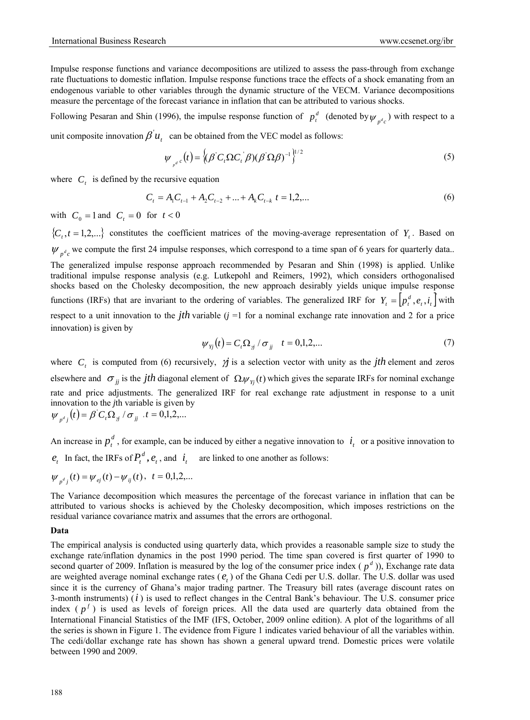Impulse response functions and variance decompositions are utilized to assess the pass-through from exchange rate fluctuations to domestic inflation. Impulse response functions trace the effects of a shock emanating from an endogenous variable to other variables through the dynamic structure of the VECM. Variance decompositions measure the percentage of the forecast variance in inflation that can be attributed to various shocks.

Following Pesaran and Shin (1996), the impulse response function of  $p_t^d$  (denoted by  $\psi_{p^d c}$ ) with respect to a

unit composite innovation  $\beta' u_t$  can be obtained from the VEC model as follows:

$$
\psi_{\rho^{d}}(t) = \left\{ (\beta^{'}C_{t}\Omega C_{t}^{'}\beta)(\beta^{'}\Omega\beta)^{-1} \right\}^{1/2}
$$
\n(5)

where  $C<sub>t</sub>$  is defined by the recursive equation

$$
C_t = A_1 C_{t-1} + A_2 C_{t-2} + \dots + A_k C_{t-k} \quad t = 1, 2, \dots \tag{6}
$$

with  $C_0 = 1$  and  $C_t = 0$  for  $t < 0$ 

 ${C_{t}, t = 1,2,...}$  constitutes the coefficient matrices of the moving-average representation of  $Y_t$ . Based on  $\psi_{p^d c}$  we compute the first 24 impulse responses, which correspond to a time span of 6 years for quarterly data..

The generalized impulse response approach recommended by Pesaran and Shin (1998) is applied. Unlike traditional impulse response analysis (e.g. Lutkepohl and Reimers, 1992), which considers orthogonalised shocks based on the Cholesky decomposition, the new approach desirably yields unique impulse response functions (IRFs) that are invariant to the ordering of variables. The generalized IRF for  $Y_t = [p_t^d, e_t, i_t]$  with respect to a unit innovation to the *jth* variable  $(j = 1$  for a nominal exchange rate innovation and 2 for a price innovation) is given by

$$
\psi_{y_j}(t) = C_t \Omega_{y} / \sigma_{jj} \quad t = 0, 1, 2, \dots \tag{7}
$$

where  $C_t$  is computed from (6) recursively,  $\dot{y}$  is a selection vector with unity as the *jth* element and zeros elsewhere and  $\sigma_{jj}$  is the *jth* diagonal element of  $\Omega \psi_{Yj}(t)$  which gives the separate IRFs for nominal exchange rate and price adjustments. The generalized IRF for real exchange rate adjustment in response to a unit innovation to the *j*th variable is given by  $\psi_{n^d i}(t) = \beta' C_i \Omega_{n^d} / \sigma_{n^d}$ ,  $t = 0,1,2,...$ 

An increase in  $p_t^d$ , for example, can be induced by either a negative innovation to  $i_t$  or a positive innovation to  $e_t$  In fact, the IRFs of  $P_t^d$ ,  $e_t$ , and  $i_t$  are linked to one another as follows:

$$
\psi_{p^d_j}(t) = \psi_{ej}(t) - \psi_{ij}(t), \quad t = 0, 1, 2,...
$$

The Variance decomposition which measures the percentage of the forecast variance in inflation that can be attributed to various shocks is achieved by the Cholesky decomposition, which imposes restrictions on the residual variance covariance matrix and assumes that the errors are orthogonal.

## **Data**

The empirical analysis is conducted using quarterly data, which provides a reasonable sample size to study the exchange rate/inflation dynamics in the post 1990 period. The time span covered is first quarter of 1990 to second quarter of 2009. Inflation is measured by the log of the consumer price index ( $p<sup>d</sup>$ )), Exchange rate data are weighted average nominal exchange rates ( $e_t$ ) of the Ghana Cedi per U.S. dollar. The U.S. dollar was used since it is the currency of Ghana's major trading partner. The Treasury bill rates (average discount rates on 3-month instruments) (*i* ) is used to reflect changes in the Central Bank's behaviour. The U.S. consumer price index  $(p<sup>f</sup>)$  is used as levels of foreign prices. All the data used are quarterly data obtained from the International Financial Statistics of the IMF (IFS, October, 2009 online edition). A plot of the logarithms of all the series is shown in Figure 1. The evidence from Figure 1 indicates varied behaviour of all the variables within. The cedi/dollar exchange rate has shown has shown a general upward trend. Domestic prices were volatile between 1990 and 2009.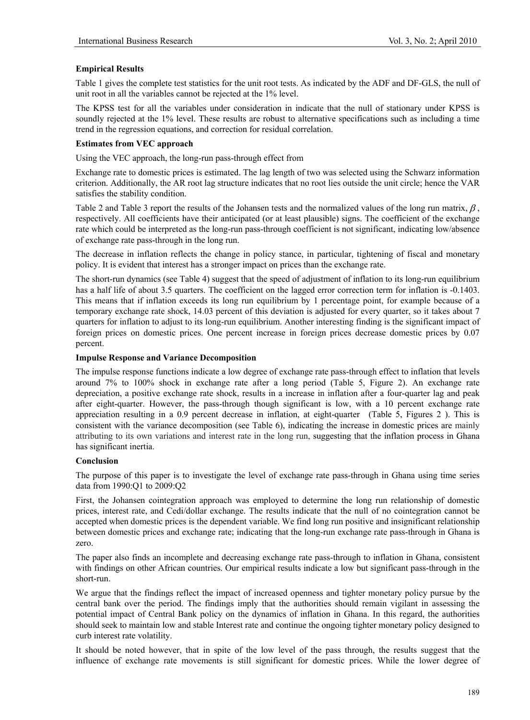## **Empirical Results**

Table 1 gives the complete test statistics for the unit root tests. As indicated by the ADF and DF-GLS, the null of unit root in all the variables cannot be rejected at the 1% level.

The KPSS test for all the variables under consideration in indicate that the null of stationary under KPSS is soundly rejected at the 1% level. These results are robust to alternative specifications such as including a time trend in the regression equations, and correction for residual correlation.

## **Estimates from VEC approach**

Using the VEC approach, the long-run pass-through effect from

Exchange rate to domestic prices is estimated. The lag length of two was selected using the Schwarz information criterion. Additionally, the AR root lag structure indicates that no root lies outside the unit circle; hence the VAR satisfies the stability condition.

Table 2 and Table 3 report the results of the Johansen tests and the normalized values of the long run matrix,  $\beta$ , respectively. All coefficients have their anticipated (or at least plausible) signs. The coefficient of the exchange rate which could be interpreted as the long-run pass-through coefficient is not significant, indicating low/absence of exchange rate pass-through in the long run.

The decrease in inflation reflects the change in policy stance, in particular, tightening of fiscal and monetary policy. It is evident that interest has a stronger impact on prices than the exchange rate.

The short-run dynamics (see Table 4) suggest that the speed of adjustment of inflation to its long-run equilibrium has a half life of about 3.5 quarters. The coefficient on the lagged error correction term for inflation is -0.1403. This means that if inflation exceeds its long run equilibrium by 1 percentage point, for example because of a temporary exchange rate shock, 14.03 percent of this deviation is adjusted for every quarter, so it takes about 7 quarters for inflation to adjust to its long-run equilibrium. Another interesting finding is the significant impact of foreign prices on domestic prices. One percent increase in foreign prices decrease domestic prices by 0.07 percent.

## **Impulse Response and Variance Decomposition**

The impulse response functions indicate a low degree of exchange rate pass-through effect to inflation that levels around 7% to 100% shock in exchange rate after a long period (Table 5, Figure 2). An exchange rate depreciation, a positive exchange rate shock, results in a increase in inflation after a four-quarter lag and peak after eight-quarter. However, the pass-through though significant is low, with a 10 percent exchange rate appreciation resulting in a 0.9 percent decrease in inflation, at eight-quarter (Table 5, Figures 2 ). This is consistent with the variance decomposition (see Table 6), indicating the increase in domestic prices are mainly attributing to its own variations and interest rate in the long run, suggesting that the inflation process in Ghana has significant inertia.

## **Conclusion**

The purpose of this paper is to investigate the level of exchange rate pass-through in Ghana using time series data from 1990:Q1 to 2009:Q2

First, the Johansen cointegration approach was employed to determine the long run relationship of domestic prices, interest rate, and Cedi/dollar exchange. The results indicate that the null of no cointegration cannot be accepted when domestic prices is the dependent variable. We find long run positive and insignificant relationship between domestic prices and exchange rate; indicating that the long-run exchange rate pass-through in Ghana is zero.

The paper also finds an incomplete and decreasing exchange rate pass-through to inflation in Ghana, consistent with findings on other African countries. Our empirical results indicate a low but significant pass-through in the short-run.

We argue that the findings reflect the impact of increased openness and tighter monetary policy pursue by the central bank over the period. The findings imply that the authorities should remain vigilant in assessing the potential impact of Central Bank policy on the dynamics of inflation in Ghana. In this regard, the authorities should seek to maintain low and stable Interest rate and continue the ongoing tighter monetary policy designed to curb interest rate volatility.

It should be noted however, that in spite of the low level of the pass through, the results suggest that the influence of exchange rate movements is still significant for domestic prices. While the lower degree of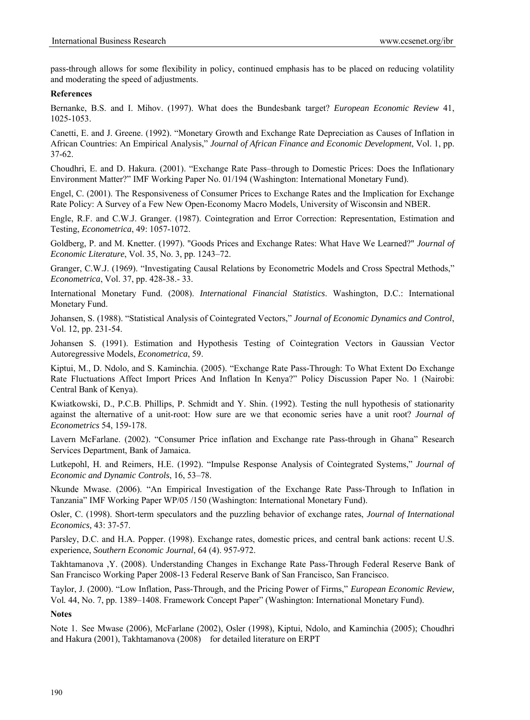pass-through allows for some flexibility in policy, continued emphasis has to be placed on reducing volatility and moderating the speed of adjustments.

## **References**

Bernanke, B.S. and I. Mihov. (1997). What does the Bundesbank target? *European Economic Review* 41, 1025-1053.

Canetti, E. and J. Greene. (1992). "Monetary Growth and Exchange Rate Depreciation as Causes of Inflation in African Countries: An Empirical Analysis," *Journal of African Finance and Economic Development*, Vol. 1, pp. 37-62.

Choudhri, E. and D. Hakura. (2001). "Exchange Rate Pass–through to Domestic Prices: Does the Inflationary Environment Matter?" IMF Working Paper No. 01/194 (Washington: International Monetary Fund).

Engel, C. (2001). The Responsiveness of Consumer Prices to Exchange Rates and the Implication for Exchange Rate Policy: A Survey of a Few New Open-Economy Macro Models, University of Wisconsin and NBER.

Engle, R.F. and C.W.J. Granger. (1987). Cointegration and Error Correction: Representation, Estimation and Testing, *Econometrica*, 49: 1057-1072.

Goldberg, P. and M. Knetter. (1997). "Goods Prices and Exchange Rates: What Have We Learned?" *Journal of Economic Literature*, Vol. 35, No. 3, pp. 1243–72.

Granger, C.W.J. (1969). "Investigating Causal Relations by Econometric Models and Cross Spectral Methods," *Econometrica*, Vol. 37, pp. 428-38.- 33.

International Monetary Fund. (2008). *International Financial Statistics*. Washington, D.C.: International Monetary Fund.

Johansen, S. (1988). "Statistical Analysis of Cointegrated Vectors," *Journal of Economic Dynamics and Control*, Vol. 12, pp. 231-54.

Johansen S. (1991). Estimation and Hypothesis Testing of Cointegration Vectors in Gaussian Vector Autoregressive Models, *Econometrica*, 59.

Kiptui, M., D. Ndolo, and S. Kaminchia. (2005). "Exchange Rate Pass-Through: To What Extent Do Exchange Rate Fluctuations Affect Import Prices And Inflation In Kenya?" Policy Discussion Paper No. 1 (Nairobi: Central Bank of Kenya).

Kwiatkowski, D., P.C.B. Phillips, P. Schmidt and Y. Shin. (1992). Testing the null hypothesis of stationarity against the alternative of a unit-root: How sure are we that economic series have a unit root? *Journal of Econometrics* 54, 159-178.

Lavern McFarlane. (2002). "Consumer Price inflation and Exchange rate Pass-through in Ghana" Research Services Department, Bank of Jamaica.

Lutkepohl, H. and Reimers, H.E. (1992). "Impulse Response Analysis of Cointegrated Systems," *Journal of Economic and Dynamic Controls*, 16, 53–78.

Nkunde Mwase. (2006). "An Empirical Investigation of the Exchange Rate Pass-Through to Inflation in Tanzania" IMF Working Paper WP/05 /150 (Washington: International Monetary Fund).

Osler, C. (1998). Short-term speculators and the puzzling behavior of exchange rates, *Journal of International Economics,* 43: 37-57.

Parsley, D.C. and H.A. Popper. (1998). Exchange rates, domestic prices, and central bank actions: recent U.S. experience, *Southern Economic Journal*, 64 (4). 957-972.

Takhtamanova ,Y. (2008). Understanding Changes in Exchange Rate Pass-Through Federal Reserve Bank of San Francisco Working Paper 2008-13 Federal Reserve Bank of San Francisco, San Francisco.

Taylor, J. (2000). "Low Inflation, Pass-Through, and the Pricing Power of Firms," *European Economic Review,*  Vol*.* 44, No. 7, pp. 1389–1408. Framework Concept Paper" (Washington: International Monetary Fund).

**Notes** 

Note 1. See Mwase (2006), McFarlane (2002), Osler (1998), Kiptui, Ndolo, and Kaminchia (2005); Choudhri and Hakura (2001), Takhtamanova (2008) for detailed literature on ERPT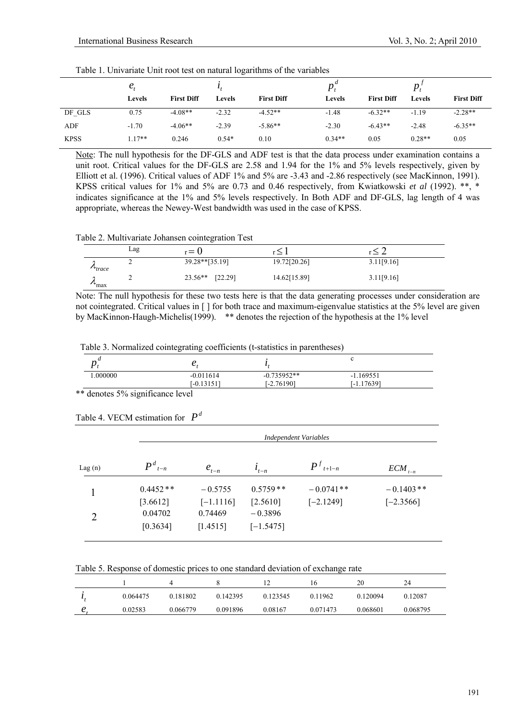| Table 1. Omvariate Only foot test on natural logarithms of the variables |          |                   |         |                   |             |                   |          |                   |  |
|--------------------------------------------------------------------------|----------|-------------------|---------|-------------------|-------------|-------------------|----------|-------------------|--|
|                                                                          | e.       |                   |         |                   | $p_{t}^{a}$ |                   | p;       |                   |  |
|                                                                          | Levels   | <b>First Diff</b> | Levels  | <b>First Diff</b> | Levels      | <b>First Diff</b> | Levels   | <b>First Diff</b> |  |
| DF GLS                                                                   | 0.75     | $-4.08**$         | $-2.32$ | $-4.52**$         | $-1.48$     | $-6.32**$         | $-1.19$  | $-2.28**$         |  |
| ADF                                                                      | $-1.70$  | $-4.06**$         | $-2.39$ | $-5.86**$         | $-2.30$     | $-6.43**$         | $-2.48$  | $-6.35**$         |  |
| <b>KPSS</b>                                                              | $1.17**$ | 0.246             | $0.54*$ | 0.10              | $0.34**$    | 0.05              | $0.28**$ | 0.05              |  |

Note: The null hypothesis for the DF-GLS and ADF test is that the data process under examination contains a unit root. Critical values for the DF-GLS are 2.58 and 1.94 for the 1% and 5% levels respectively, given by Elliott et al. (1996). Critical values of ADF 1% and 5% are -3.43 and -2.86 respectively (see MacKinnon, 1991). KPSS critical values for 1% and 5% are 0.73 and 0.46 respectively, from Kwiatkowski *et al* (1992). \*\*, \* indicates significance at the 1% and 5% levels respectively. In Both ADF and DF-GLS, lag length of 4 was appropriate, whereas the Newey-West bandwidth was used in the case of KPSS.

Table 2. Multivariate Johansen cointegration Test

|                       | Lag | $r =$                |              |            |
|-----------------------|-----|----------------------|--------------|------------|
| $\mathcal{L}_{trace}$ |     | 39.28**[35.19]       | 19.72[20.26] | 3.11[9.16] |
| $v_{\text{max}}$      | ∼   | $23.56**$<br>[22.29] | 14.62[15.89] | 3.11[9.16] |

Note: The null hypothesis for these two tests here is that the data generating processes under consideration are not cointegrated. Critical values in [ ] for both trace and maximum-eigenvalue statistics at the 5% level are given by MacKinnon-Haugh-Michelis(1999). \*\* denotes the rejection of the hypothesis at the 1% level

Table 3. Normalized cointegrating coefficients (t-statistics in parentheses)

| a        |              |               |              |  |
|----------|--------------|---------------|--------------|--|
| .000000  | $-0.011614$  | $-0.735952**$ | $-1.169551$  |  |
|          | $(-0.13151)$ | $[-2.76190]$  | $[-1.17639]$ |  |
| .<br>. . |              |               |              |  |

\*\* denotes 5% significance level

| Table 4. VECM estimation for $P^d$ |
|------------------------------------|
|------------------------------------|

|                |                                               | <b>Independent Variables</b>                    |                                                    |                            |                            |  |  |  |
|----------------|-----------------------------------------------|-------------------------------------------------|----------------------------------------------------|----------------------------|----------------------------|--|--|--|
| Lag(n)         | P <sup>d</sup><br>$t-n$                       | $e_{t-n}$                                       | $l_{t-n}$                                          | $P^{f}_{t+1-n}$            | $ECM_{t-n}$                |  |  |  |
| $\overline{2}$ | $0.4452**$<br>[3.6612]<br>0.04702<br>[0.3634] | $-0.5755$<br>$[-1.1116]$<br>0.74469<br>[1.4515] | $0.5759**$<br>[2.5610]<br>$-0.3896$<br>$[-1.5475]$ | $-0.0741**$<br>$[-2.1249]$ | $-0.1403**$<br>$[-2.3566]$ |  |  |  |

Table 5. Response of domestic prices to one standard deviation of exchange rate

|          |          |          |          | 16       | 20       | 24       |
|----------|----------|----------|----------|----------|----------|----------|
| 0.064475 | 0.181802 | 0.142395 | 0.123545 | 0.11962  | 0.120094 | 0.12087  |
| 0.02583  | 0.066779 | 0.091896 | 0.08167  | 0.071473 | 0.068601 | 0.068795 |